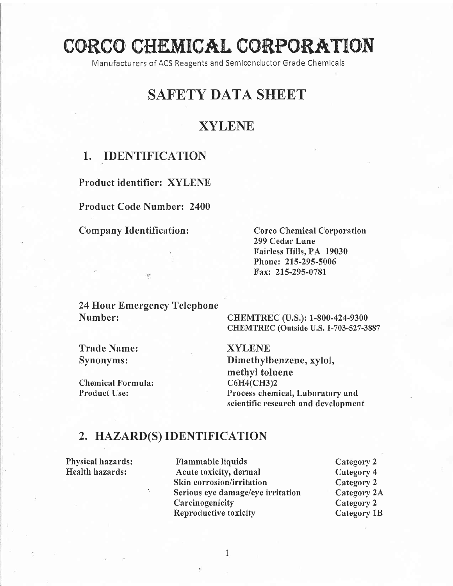# CORCO CHEMICAL CORPORATION

Manufacturers of ACS Reagents and Semlconductor Grade Chemicals

## SAFETY DATA SHEET

## XYLENE

### 1. IDENTIFICATION

Product identifier: XYLENE

Product Code Number: 2400

Company Identification: Corco Chemical Corporation

299 Cedar Lane Fairless Hills, PA 19030 Phone: 215-295-5006 Fax: 215-295-0781

24 Hour Emergency Telephone Number: CHEMTREC (U.S.): 1-800-424-9300

CHEMTREC (Outside U.S. 1-703-527-3887

Trade Name: XYLENE<br>Synonyms: Dimethyll

Chemical Formula:<br>Product Use:

Dimethylbenzene, xylol, methyl toluene<br>C6H4(CH3)2 Process chemical, Laboratory and scientific research and development

#### z. HAZARD(S) IDENTIFICATION

Physical hazards: Flammable liquids Category 2 Health hazards: Acute toxicity, dermal Category 4<br>Skin corrosion/irritation Category 2 Skin corrosion/irritation Category 2<br>
Serious eye damage/eye irritation Category 2A Serious eye damage/eye irritation Category 2.<br>Carcinogenicity Category 2 Carcinogenicity Reproductive toxicity Category 1B

 $\mathbf{1}$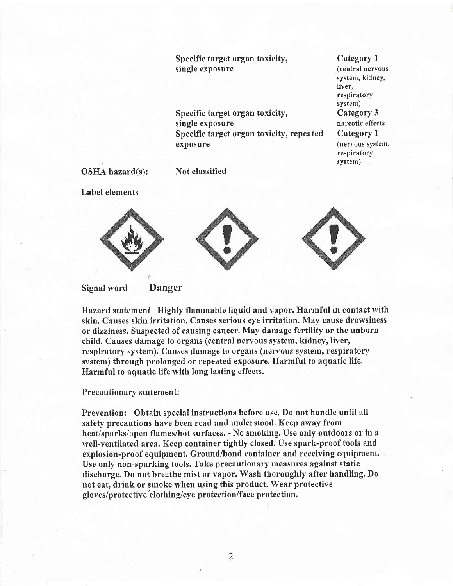Specific target organ toxicity, single exposure Specific target organ toxicify, single exposure Specific target organ toxicity, repeated exposure

Category <sup>1</sup> (central nervous system, kidney, Iiver, respiratory system) Category 3 narcotic effects Category <sup>1</sup> (nervous system, respiratory system)

OSHA hazard(s):

Not classified

Label elements



#### Signal word Danger

Hazard statement Highly flammable liquid and vapor. Harmful in contact with skin. Causes skin irritation, Causes serious eye irritation. May cause drowsiness or dizziness. Suspected of causing cancer. May damage fertility or the unborn child. Causes damage to organs (central nervous system, kidney, liver, respiratory system). Causes daniage to organs (nervous system, respiratory system) through prolonged or repeated exposure. Harmful to aquatic life, Harmful to aquatic life with long lasting effects.

#### Precautionary statement:

Prevention: Obtain special instructions before use. Do not handle until all safefy precautions have been read and understood. Keep away from heat/sparks/open flames/hot surfaces. - No smoking. Use only outdoors or in <sup>a</sup> well-ventilated area. Keep container tightly closed. Use spark-proof tools and explosion-proof equipment. Ground/bond container and receiving equipment. Use only non-sparking tools. Take precautionary measures against static discharge. Do not breathe mist or vapor. Wash thoroughly after handling. Do not eat, drink or smoke when using this product. Wear protective gloves/protective'clothing/eye protection/face protection.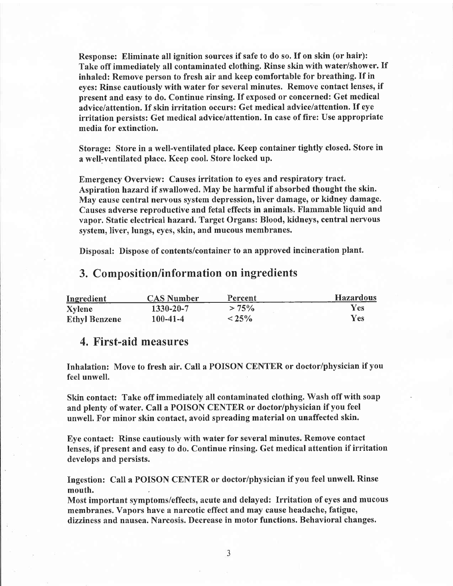Response: Eliminate all ignition sources if safe to do so. If on skin (or hair): Take off immediately all contaminated clothing. Rinse skin with water/shower. If inhaled: Remove person to fresh air and keep comfortable for breathing. If in eyes: Rinse cautiously with water for several minutes. Remove contact lenses, if present and easy to do. Continue rinsing. If exposed or concerned: Get medical advice/attention. If skin irritation occurs: Get medical advice/attention. If eye irritation persists: Get medical advice/attention. In case of fire: Use appropriate media for extinction.

Storage: Store in a well-ventilated place. Keep container tightly closed. Store in a well'ventilated place. Keep cool. Store locked up.

Emergency Overview: Causes irritation to eyes and respiratory tract, Aspiration hazard if swallowed. May be harmful if absorbed thought the skin. May cause central nervous system depression, liver damage, or kidney damage. Causes adverse reproductive and fetal effects in animals. Flammable liquid and vapor. Static electrical hazard. Target Organs: Blood, kidneys, central nervous system, liver, lungs, eyes, skin, and mucous membranes.

Disposal: Dispose of contents/container to an approved incineration plant.

#### 3. Composition/information on ingredients

| Ingredient           | <b>CAS Number</b> | Percent  | <b>Hazardous</b> |
|----------------------|-------------------|----------|------------------|
| Xylene               | 1330-20-7         | $> 75\%$ | Y es             |
| <b>Ethyl Benzene</b> | $100 - 41 - 4$    | $< 25\%$ | Yes.             |

#### 4. First-aid measures

Inhalation: Move to fresh air. Call a POISON CENTER or doctor/physician if you feel unwell.

Skin contact: Take off immediately all contaminated clothing. Wash off with soap and plenty of water. Call a POISON CENTER or doctor/physician if you feel unwell. For minor skin contact, avoid spreading material on unaffected skin.

Eye contact: Rinse cautiously with water for several minutes. Remove contact lenses, if present and easy to do. Continue rinsing. Get medical attention if irritation develops and persists.

Ingestion: Call a POISON CENTER or doctor/physician if you feel unwell. Rinse mouth.

Most important symptoms/effects, acute and delayed: Irritation of eyes and mucous membranes. Vapors have a narcotic effect and may cause headache, fatigue, dizziness and nausea. Narcosis. Decrease in motor functions. Behavioral changes.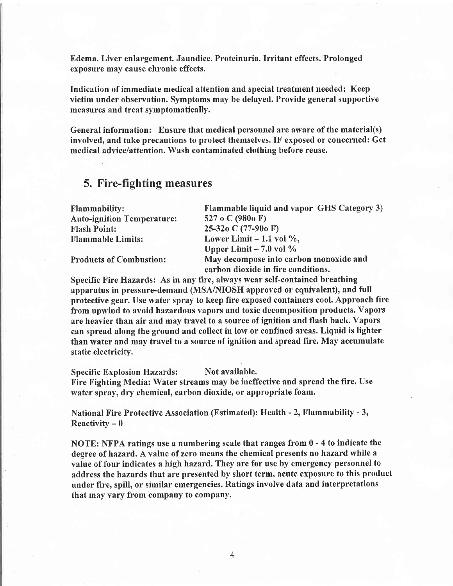Edema. Liver enlargement. Jaundice. Proteinuria. Irritant effects. Prolonged exposure may cause chronic effects.

Indication of immediate medical attention and special treatment needed: Keep victim under observation. Symptoms may be delayed. Provide general supportive measures and treat symptomatically.

General information: Ensure that medical personnel are aware of the material(s) involved, and take precautions to protect themselves. IF exposed or concerned: Get medical advice/attention. Wash contaminated clothing before reuse.

### 5. Fire-fighting measures

| <b>Flammability:</b>              | Flammable liquid and vapor GHS Category 3) |  |  |
|-----------------------------------|--------------------------------------------|--|--|
| <b>Auto-ignition Temperature:</b> | 527 o C (980o F)                           |  |  |
| <b>Flash Point:</b>               | 25-32 $o$ C (77-90 $o$ F)                  |  |  |
| <b>Flammable Limits:</b>          | Lower Limit $-1.1$ vol %,                  |  |  |
|                                   | Upper Limit $-7.0$ vol $\%$                |  |  |
| <b>Products of Combustion:</b>    | May decompose into carbon monoxide and     |  |  |
|                                   | carbon dioxide in fire conditions.         |  |  |

Specific Fire Hazards: As in any fire, always wear self-contained breathing apparatus in pressure-demand (MSAINIOSH approved or equivalent), and full protective gear. Use water spray to keep fire exposed containers cool. Approach fire from upwind to avoid hazardous vapors and toxic decomposition products. Vapors are heavier than air and may travel to a source of ignition and flash back. Vapors can spread along the ground and collect in low or confined areas. Liquid is lighter than water and may travel to a source of ignition and spread fire. May accumulate static electricity.

Specific Explosion Hazards: Not available. Fire Fighting Media: Water streams may be ineffective and spread the fire. Use water spray, dry chemical, carbon dioxide, or appropriate foam.

National Fire Protective Association (Estimated): Health - 2, Flammability - 3, Reactivity  $= 0$ 

NOTE: NFPA ratings use a numbering scale that ranges from  $0 - 4$  to indicate the degree of hazard. A value of zero means the chemical presents no hazard while <sup>a</sup> value of four indicates a high hazard, They are for use by emergency personnel to address the hazards that are presented by short term, acute exposure to this product under fire, spill, or similar emergencies. Ratings involve data and interpretations that may vary from'company to company.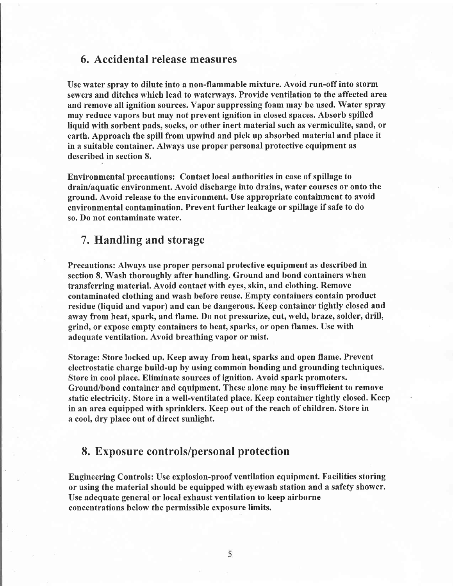#### 6. Accidental release measures

Use water spray to dilute into a non-flammable mixture. Avoid run-off into storm sewers and ditches which lead to waterways. Provide ventilation to the affected area and remove all ignition sources. Vapor suppressing foam may be used. Water spray may reduce vapors but may not prevent ignition in closed spaces. Absorb spilled liquid with sorbent pads, socks, or other inert material such as vermiculite, sand, or earth. Approach the spill from upwind and pick up absorbed material and place it in a suitable container. Always use proper personal protective equipment as described in section 8.

Environmental precautions: Contact local authorities in case of spillage to drain/aquatic environment. Avoid discharge into drains, water courses or onto the ground. Avoid release to the environment. Use appropriate containment to avoid environmental contamination. Prevent further leakage or spillage if safe to do so. Do not contaminate water.

#### 7. Handling and storage

Precautions: Always use proper personal protective equipment as described in section 8. Wash thoroughly after handling. Ground and bond containers when transferring material. Avoid contact with eyes, skin, and clothing. Remove contaminated clothing and wash before reuse. Empfy containers contain product residue (liquid and vapor) and can be dangerous. Keep container tightly closed and away from heat, spark, and flame. Do not pressurize, cut, weld, braze, solder, drill, grind, or expose empty containers to heat, sparks, or open flames. Use with adequate ventilation. Avoid breathing vapor or mist.

Storage: Store locked up. Keep away from heat, sparks and open flame. Prevent electrostatic charge build-up by using common bonding and grounding techniques. Store in cool place. Eliminate sources of ignition. Avoid spark promoters. Ground/bond container and equipment. These alone may be insufficient to remove static electricity. Store in a well-ventilated place. Keep container tightly closed. Keep in an area equipped with sprinklers. Keep out of the reach of children. Store in a cool, dry place out of direct sunlight.

#### 8. Exposure controls/personal protection

Engineering Controls: Use explosion-proof ventilation equipment. Facilities storing or using the material should be equipped with eyewash station and a safety shower. Use adequate general or local exhaust ventilation to keep airborne concentrations below the permissible exposure limits.

5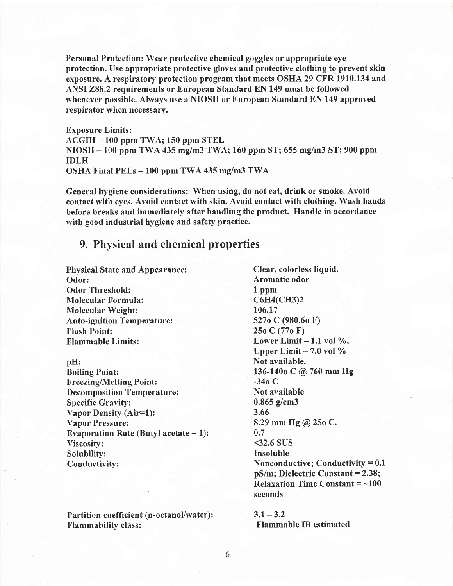Personal Protection: Wear protective chemical goggles or appropriate eye protection. Use appropriate protective gloves and protective clothing to prevent skin exposure. A respiratory protection program that meets OSHA 29 CFR 1910.134 and ANSI 288,2 requirements or European Standard EN 149 must be followed whenever possible. Always use a NIOSH or European Standard EN 149 approved respirator when necessary.

Exposure Limits: ACGIH - 100 ppm TWA; 150 ppm STEL NIOSH - 100 ppm TWA 435 mg/m3 TWA; 160 ppm ST; 655 mg/m3 ST; 900 ppm IDLH OSHA Final PELs - 100 ppm TWA 435 mg/m3 TWA

General hygiene considerations: Whcn using, do not eat, drink or smoke. Avoid contact with eyes. Avoid contact with skin. Avoid contact with clothing. Wash hands before breaks and immediately after handling the product. Handle in accordance with good industrial hygiene and safety practice.

#### 9. Physical and chemical properties

Physical State and Appearance: Clear, colorless liquid. Odor: Aromatic odor Odor Threshold: 1 ppm<br>
Molecular Formula: C6H4(CH3)2 Molecular Formula: C6H4(<br>
Molecular Weight: 106.17 Molecular Weight: 106.17<br>
Auto-ignition Temperature: 5270 C (980.60 F) Auto-ignition Temperature: Flash Point: 25o C (77o F)  $\mu$  Flammable Limits: Lower Limit - 1.1 vol  $\%$ ,

pH: Not available. Boiling Point:  $136-140$ o C @ 760 mm Hg<br>Freezing/Melting Point:  $-34$ o C Freezing/Melting Point: Decomposition Temperature: Not available Specific Gravity: 0.865 g/cm3<br>Vanor Density (Air=1): 3.66 Vapor Density (Air=1): Vapor Pressure: 8.29 mm Hg @ 25o C. Evaporation Rate (Butyl acetate  $= 1$ ): 0.7 Viscosity: <32.6 SUS<br>Solubility: the subset of the set of the set of the set of the set of the set of the set of the set of the set o Solubility:<br>Conductivity:

Partition coefficient (n-octanol/water):  $3.1 - 3.2$ <br>Flammability class: Flamma

Upper Limit  $-7.0$  vol  $\%$ Nonconductive; Conductivity  $= 0.1$  $pS/m$ ; Dielectric Constant = 2.38; Relaxation Time Constant  $=$  ~100 seconds

Flammable IB estimated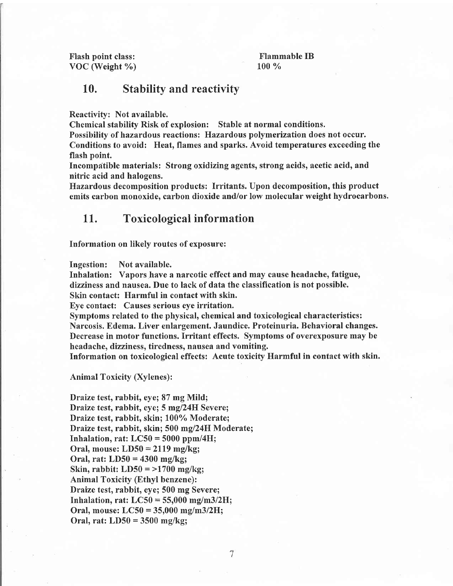Flash point class: VOC (Weight %)

Flammable IB 100 %

#### 10. Stability and reactivity

Reactivity: Not available.

Chemical stability Risk of explosion: Stable at normal conditions.

Possibility of hazardous reactions: Hazardous polymerization does not occur. Conditions to avoid: Heat, flames and sparks. Avoid temperatures exceeding the flash point.

Incompatible materials: Strong oxidizing agents, strong acids, acetic acid, and nitric acid and halogens.

Hazardous decomposition products: Irritants. Upon decomposition, this product emits carbon monoxide, carbon dioxide and/or low molecular weight hydrocarbons.

#### <sup>L</sup>1. Toxicological information

Information on likely routes of exposure:

Ingestion: Notavailable.

Inhalation: Vapors have a narcotic effect and may cause headache, fatigue, dizziness and nausea. Due to lack of data the classification is not possible.

Skin contact: Harmful in contact with skin.

Eye contact: Causes serious eye irritation.

Symptoms related to the physical, chemical and toxicological characteristics: Narcosis. Edema. Liver enlargement. Jaundice. Proteinuria. Behavioral changes. Decrease in motor functions. Irritant effects. Symptoms of overexposure may be headache, dizziness, tiredness, nausea and vomiting.

Information on toxicological effects: Acute toxicity Harmful in contact with skin.

Animal Toxicity (Xylenes):

Draize test, rabbit, eye;87 mg Mild; Draize test, rabbit, eye; 5 mg/24H Severe; Draize test, rabbit, skin; 100% Moderate; Draize test, rabbit, skin; 500 mg/24H Moderate; Inhalation, rat:  $LC50 = 5000$  ppm/4H; Oral, mouse: LD50 = 2II9 mg/kg; Oral, rat: LD50 = 4300 mg/kg; Skin, rabbit:  $LD50 = >1700$  mg/kg; Animal Toxicity (Ethyl benzene): Draize test, rabbit, eye; 500 mg Severe; Inhalation, rat:  $LC50 = 55,000$  mg/m3/2H; Oral, mouse:  $LC50 = 35,000$  mg/m3/2H; Oral, rat: LD50 = 3500 mg/kg;

7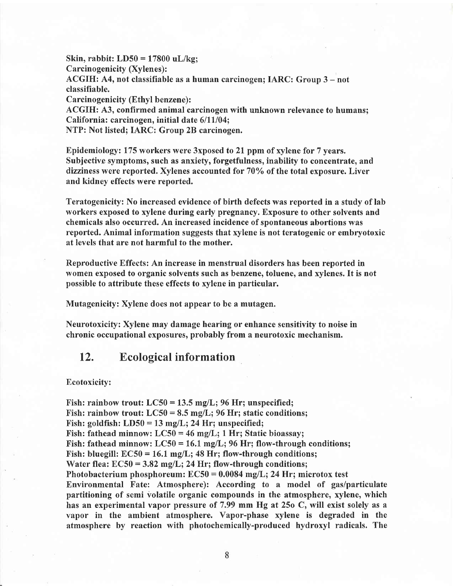Skin, rabbit:  $LD50 = 17800$  uL/kg; Carcinogenicity (Xylenes): ACGIH: A4, not classifiable as a human carcinogen; IARC: Group 3 – not classifiable. Carcinogenicity (Ethyl benzene): ACGIH: A3, confirmed animal carcinogen with unknown relevance to humans; California: carcinogen, initial date  $6/11/04$ ; NTP: Not listed; IARC: Group 2B carcinogen.

Epidemiology: 175 workers were 3xposed to 21. ppm of xylene for 7 years. Subjective symptoms, such as anxiety, forgetfulness, inability to concentrate, and dizziness were reported. Xylenes accounted for  $70\%$  of the total exposure. Liver and kidney effects were reported.

Teratogenicity: No increased evidence of birth defects was reported in a study of lab workers exposed to xylene during early pregnancy. Exposure to other solvents and chemicals also occurred. An increased incidence of spontaneous abortions was reported. Animal information suggests that xylene is not teratogenic or embryotoxic at levels that are not harmful to the mother.

Reproductive Effects: An increase in menstrual disorders has been reported in women exposed to organic solvents such as benzene, toluene, and xylenes. It is not possible to attribute these effects to xylene in particular.

Mutagenicity: Xylene does not appear to be a mutagen.

Neurotoxicity: Xylene may damage hearing or enhance sensitivity to noise in chronic occupational exposures, probably from a neurotoxic mechanism.

#### 12. Ecological information

#### Ecotoxicity:

Fish: rainbow trout:  $LC50 = 13.5$  mg/L; 96 Hr; unspecified; Fish: rainbow trout:  $LC50 = 8.5$  mg/L; 96 Hr; static conditions; Fish: goldfish:  $LD50 = 13$  mg/L; 24 Hr; unspecified; Fish: fathead minnow:  $LC50 = 46$  mg/L; 1 Hr; Static bioassay; Fish: fathead minnow:  $LC50 = 16.1$  mg/L; 96 Hr; flow-through conditions; Fish: bluegill:  $EC50 = 16.1$  mg/L; 48 Hr; flow-through conditions; Water flea:  $EC50 = 3.82$  mg/L; 24 Hr; flow-through conditions; Photobacterium phosphoreum:  $EC50 = 0.0084$  mg/L; 24 Hr; microtox test Environmental Fate: Atmosphere): According to a model of gas/particulate partitioning of semi volatile organic compounds in the atmosphere, xylene, which has an experimental vapor pressure of 7,99 mm Hg at 25o C, will exist solely as <sup>a</sup> vapor in the ambient atmosphere. Vapor-phase xylene is degraded in the atmosphere by reaction with photochemically-produced hydroxyl radicals. The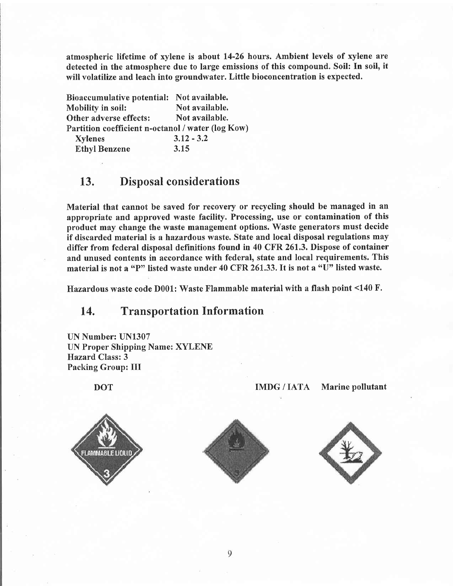atmospheric lifetime of xylene is about 14-26 hours. Ambient levels of xylene are detected in the atmosphere due to large emissions of this compound. Soil: In soil, it will volatilize and leach into groundwater. Little bioconcentration is expected.

Bioaccumulative potential: Not available. Mobility in soil: Not available. Other adverse effects: Not available. Partition coefficient n-octanol / water (log Kow) Xylenes Ethyl Benzene 3.12 - 3.2 3.15

## 13. Disposal considerations

Material that cannot be saved for recovery or recycling should be managed in an appropriate and approved waste facility. Processing, use or contamination of this product may change the waste management options. Waste generators must decide if discarded material is a hazardous waste. State and local disposal regulations may differ from federal disposal definitions found in 40 CFR 261,3, Dispose of container and unused contents in accordance with federal, state and local requirements. This material is not a "P" listed waste under 40 CFR 261.33. It is not a "U" listed waste.

flazardous waste code D001: Waste Flammable material with a flash point <140 F.

#### 14. Transportation Information

UN Number: UN1307 UN Proper Shipping Name: XYLENE Hazard Class:3 Packing Group: III

**FLAMMABLE LIQUID** 





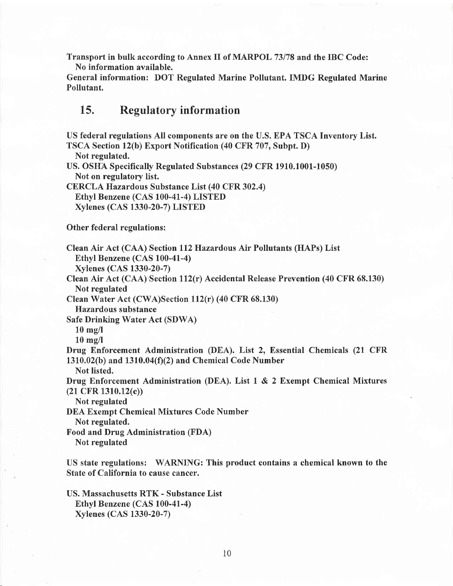Transport in bulk according to Annex II of MARPOL 73178 and the IBC Code: No information available.

General information: DOT Regulated Marine Pollutant. IMDG Regulated Marine Pollutant.

#### 15. Regulatory information

US federal regulations All components are on the U.S. EPA TSCA Inventory List. TSCA Section 12(b) Export Notification (40 CFR 707, Subpt. D) Not regulated. US. OSHA Specifically Regulated Substances (29 CFR 1910.1001-1050) Not on regulatory list. CERCLA Hazardous Substance List (40 CFR 302.4) Ethyl Benzene (CAS 100-41-4) LISTED Xylenes (CAS 1330-20-7) LISTED Other federal regulations: Clean Air Act (CAA) Section 112 Hazardous Air Pollutants (HAPs) List Ethyl Benzene (CAS 100-41-4) Xylenes (CAS 1330-20-7) Clean Air Act (CAA)'Section 112(r) Accidental Release Prevention (40 CFR 68.130) Not regulated Clean Water Act (CWA)Section ll2(r) (40 CFR 68.130) Hazardous substance Safe Drinking Water Act (SDWA) 10 mg/l 10 mg/l Drug Enforcement Administration (DEA). List 2, Essential Chemicals (21 CFR 1310.02(b) and 1310.04(f)(2) and Chemical Code Number Not listed. Drug Enforcement Administration (DEA). List 1 & 2 Exempt Chemical Mixtures (21 CFR 1310.12(c)) Not regulated DEA Exempt Chemical Mixtures Code Number Not regulated. Food and Drug Administration (FDA) Not regulated US state regulations: WARNING: This product contains a chemical known to the State of California to cause cancer.

US. Massachusetts RTK - Substance List Ethyt Benzene (CAS 100-41-4) Xylenes (CAS 1330-20-7)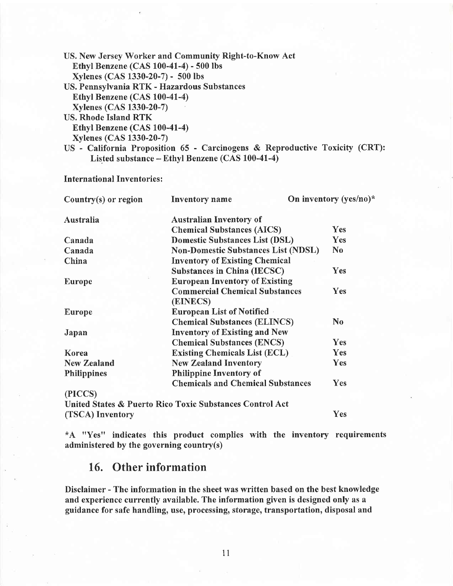| US. New Jersey Worker and Community Right-to-Know Act                       |  |
|-----------------------------------------------------------------------------|--|
| Ethyl Benzene (CAS 100-41-4) - 500 lbs                                      |  |
| Xylenes (CAS 1330-20-7) - 500 lbs                                           |  |
| US. Pennsylvania RTK - Hazardous Substances                                 |  |
| Ethyl Benzene (CAS 100-41-4)                                                |  |
| Xylenes (CAS 1330-20-7)                                                     |  |
| <b>US. Rhode Island RTK</b>                                                 |  |
| Ethyl Benzene (CAS 100-41-4)                                                |  |
| <b>Xylenes (CAS 1330-20-7)</b>                                              |  |
| US - California Proposition 65 - Carcinogens & Reproductive Toxicity (CRT): |  |
| Listed substance – Ethyl Benzene (CAS 100-41-4)                             |  |

#### International Inventories :

| Country $(s)$ or region | <b>Inventory</b> name                                    | On inventory (yes/no)* |
|-------------------------|----------------------------------------------------------|------------------------|
| Australia               | <b>Australian Inventory of</b>                           |                        |
|                         | <b>Chemical Substances (AICS)</b>                        | Yes                    |
| Canada                  | <b>Domestic Substances List (DSL)</b>                    | Yes                    |
| Canada                  | <b>Non-Domestic Substances List (NDSL)</b>               | N <sub>0</sub>         |
| China                   | <b>Inventory of Existing Chemical</b>                    |                        |
|                         | <b>Substances in China (IECSC)</b>                       | Yes                    |
| <b>Europe</b>           | <b>European Inventory of Existing</b>                    |                        |
|                         | <b>Commercial Chemical Substances</b><br>(EINECS)        | Yes                    |
| <b>Europe</b>           | <b>European List of Notified</b>                         |                        |
|                         | <b>Chemical Substances (ELINCS)</b>                      | $\bf No$               |
| Japan                   | <b>Inventory of Existing and New</b>                     |                        |
|                         | <b>Chemical Substances (ENCS)</b>                        | Yes                    |
| Korea                   | <b>Existing Chemicals List (ECL)</b>                     | Yes                    |
| <b>New Zealand</b>      | <b>New Zealand Inventory</b>                             | Yes                    |
| <b>Philippines</b>      | <b>Philippine Inventory of</b>                           |                        |
|                         | <b>Chemicals and Chemical Substances</b>                 | Yes                    |
| (PICCS)                 |                                                          |                        |
|                         | United States & Puerto Rico Toxic Substances Control Act |                        |
| (TSCA) Inventory        |                                                          | Yes                    |

\*A "Yes" indicates this product complies with the inventory requirements administered by the governing country(s)

## 16. Other information

Disclaimer - The information in the sheet was written based on the best knowledge and experience currently available. The information given is designed only as a guidance for safe handling, use, processing, storage, transportation, disposal and